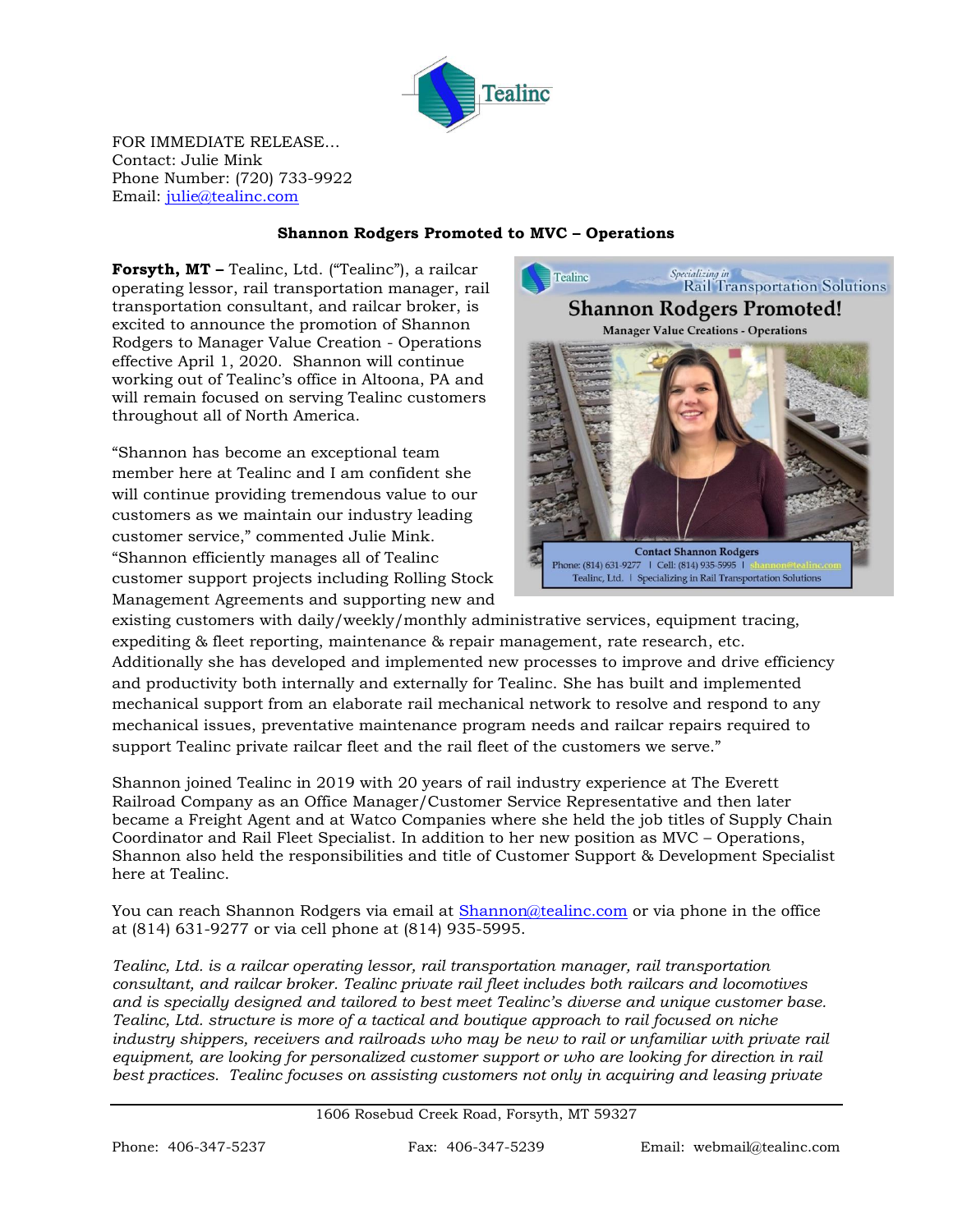

FOR IMMEDIATE RELEASE… Contact: Julie Mink Phone Number: (720) 733-9922 Email: [julie@tealinc.com](mailto:julie@tealinc.com)

## **Shannon Rodgers Promoted to MVC – Operations**

**Forsyth, MT –** Tealinc, Ltd. ("Tealinc"), a railcar operating lessor, rail transportation manager, rail transportation consultant, and railcar broker, is excited to announce the promotion of Shannon Rodgers to Manager Value Creation - Operations effective April 1, 2020. Shannon will continue working out of Tealinc's office in Altoona, PA and will remain focused on serving Tealinc customers throughout all of North America.

"Shannon has become an exceptional team member here at Tealinc and I am confident she will continue providing tremendous value to our customers as we maintain our industry leading customer service," commented Julie Mink. "Shannon efficiently manages all of Tealinc customer support projects including Rolling Stock Management Agreements and supporting new and



existing customers with daily/weekly/monthly administrative services, equipment tracing, expediting & fleet reporting, maintenance & repair management, rate research, etc. Additionally she has developed and implemented new processes to improve and drive efficiency and productivity both internally and externally for Tealinc. She has built and implemented mechanical support from an elaborate rail mechanical network to resolve and respond to any mechanical issues, preventative maintenance program needs and railcar repairs required to support Tealinc private railcar fleet and the rail fleet of the customers we serve."

Shannon joined Tealinc in 2019 with 20 years of rail industry experience at The Everett Railroad Company as an Office Manager/Customer Service Representative and then later became a Freight Agent and at Watco Companies where she held the job titles of Supply Chain Coordinator and Rail Fleet Specialist. In addition to her new position as MVC – Operations, Shannon also held the responsibilities and title of Customer Support & Development Specialist here at Tealinc.

You can reach Shannon Rodgers via email at [Shannon@tealinc.com](mailto:Shannon@tealinc.com) or via phone in the office at (814) 631-9277 or via cell phone at (814) 935-5995.

*Tealinc, Ltd. is a railcar operating lessor, rail transportation manager, rail transportation consultant, and railcar broker. Tealinc private rail fleet includes both railcars and locomotives and is specially designed and tailored to best meet Tealinc's diverse and unique customer base. Tealinc, Ltd. structure is more of a tactical and boutique approach to rail focused on niche industry shippers, receivers and railroads who may be new to rail or unfamiliar with private rail equipment, are looking for personalized customer support or who are looking for direction in rail best practices. Tealinc focuses on assisting customers not only in acquiring and leasing private* 

1606 Rosebud Creek Road, Forsyth, MT 59327